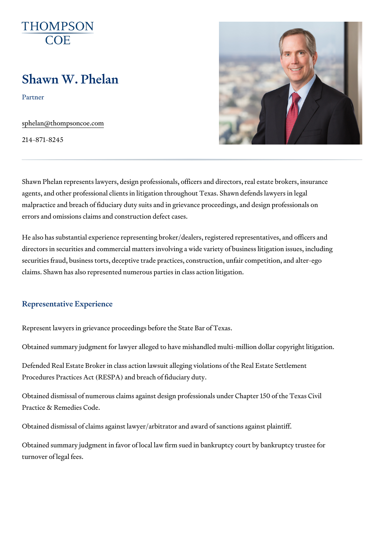# Shawn W. Phelan

Partner

[sphelan@thompso](mailto:sphelan@thompsoncoe.com)ncoe.com

214-871-8245

Shawn Phelan represents lawyers, design professionals, officers and directors agents, and other professional clients in litigation throughout Texas. Shaw malpractice and breach of fiduciary duty suits and in grievance proceeding errors and omissions claims and construction defect cases.

He also has substantial experience representing broker/dealers, registered directors in securities and commercial matters involving a wide variety of securities fraud, business torts, deceptive trade practices, construction, u claims. Shawn has also represented numerous parties in class action litiga

#### Representative Experience

Represent lawyers in grievance proceedings before the State Bar of Texas.

Obtained summary judgment for lawyer alleged to have mishandled multi-m

Defended Real Estate Broker in class action lawsuit alleging violations of Procedures Practices Act (RESPA) and breach of fiduciary duty.

Obtained dismissal of numerous claims against design professionals under Practice & Remedies Code.

Obtained dismissal of claims against lawyer/arbitrator and award of sancti

Obtained summary judgment in favor of local law firm sued in bankruptcy c turnover of legal fees.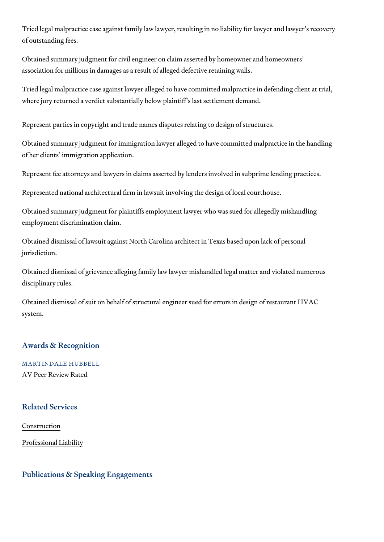Tried legal malpractice case against family law lawyer, resulting in no liab of outstanding fees.

Obtained summary judgment for civil engineer on claim asserted by homeow association for millions in damages as a result of alleged defective retaini

Tried legal malpractice case against lawyer alleged to have committed mal where jury returned a verdict substantially below plaintiff s last settlemen

Represent parties in copyright and trade names disputes relating to design

Obtained summary judgment for immigration lawyer alleged to have commit of her clients immigration application.

Represent fee attorneys and lawyers in claims asserted by lenders involve

Represented national architectural firm in lawsuit involving the design of I

Obtained summary judgment for plaintiffs employment lawyer who was sued employment discrimination claim.

Obtained dismissal of lawsuit against North Carolina architect in Texas ba jurisdiction.

Obtained dismissal of grievance alleging family law lawyer mishandled lega disciplinary rules.

Obtained dismissal of suit on behalf of structural engineer sued for errors system.

### Awards & Recognition

MARTINDALE HUBBELL AV Peer Review Rated

### Related Services

[Constru](https://www.thompsoncoe.com/people/shawn-w-phelan/)ction

[Professional](https://www.thompsoncoe.com/people/shawn-w-phelan/) Liability

Publications & Speaking Engagements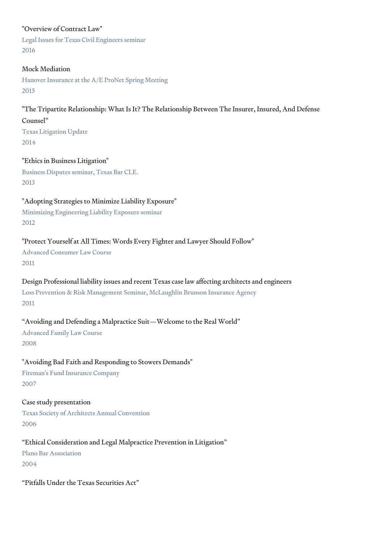### "Overview of Contract Law"

Legal Issues for Texas Civil Engineers seminar 2016

### Mock Mediation

Hanover Insurance at the A/E ProNet Spring Meeting 2015

### "The Tripartite Relationship: What Is It? The Relationship Between The Insurer, Insured, And Defense Counsel"

Texas Litigation Update 2014

"Ethics in Business Litigation" Business Disputes seminar, Texas Bar CLE. 2013

"Adopting Strategies to Minimize Liability Exposure"

Minimizing Engineering Liability Exposure seminar 2012

### "Protect Yourself at All Times: Words Every Fighter and Lawyer Should Follow"

Advanced Consumer Law Course 2011

### Design Professional liability issues and recent Texas case law affecting architects and engineers

Loss Prevention & Risk Management Seminar, McLaughlin Brunson Insurance Agency 2011

### "Avoiding and Defending a Malpractice Suit—Welcome to the Real World"

Advanced Family Law Course 2008

# "Avoiding Bad Faith and Responding to Stowers Demands"

Fireman's Fund Insurance Company 2007

# Case study presentation

Texas Society of Architects Annual Convention 2006

# "Ethical Consideration and Legal Malpractice Prevention in Litigation"

Plano Bar Association 2004

"Pitfalls Under the Texas Securities Act"